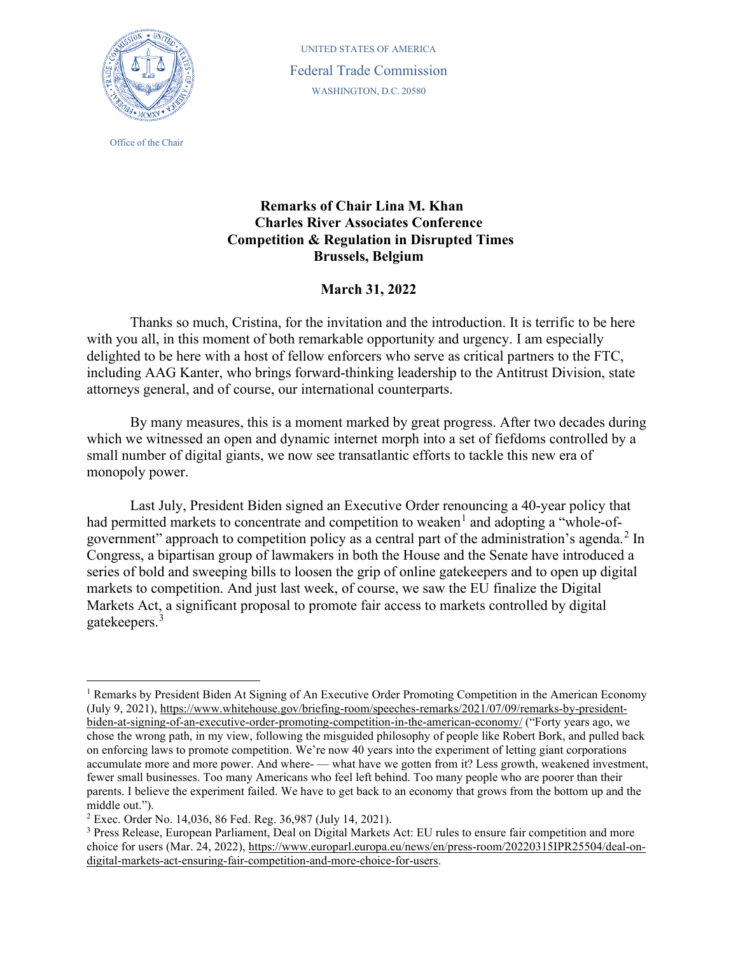

Office of the Chair

UNITED STATES OF AMERICA Federal Trade Commission WASHINGTON, D.C. 20580

## **Remarks of Chair Lina M. Khan Charles River Associates Conference Competition & Regulation in Disrupted Times Brussels, Belgium**

## **March 31, 2022**

Thanks so much, Cristina, for the invitation and the introduction. It is terrific to be here with you all, in this moment of both remarkable opportunity and urgency. I am especially delighted to be here with a host of fellow enforcers who serve as critical partners to the FTC, including AAG Kanter, who brings forward-thinking leadership to the Antitrust Division, state attorneys general, and of course, our international counterparts.

By many measures, this is a moment marked by great progress. After two decades during which we witnessed an open and dynamic internet morph into a set of fiefdoms controlled by a small number of digital giants, we now see transatlantic efforts to tackle this new era of monopoly power.

Last July, President Biden signed an Executive Order renouncing a 40-year policy that had permitted markets to concentrate and competition to weaken<sup>[1](#page-0-0)</sup> and adopting a "whole-of-government" approach to competition policy as a central part of the administration's agenda.<sup>[2](#page-0-1)</sup> In Congress, a bipartisan group of lawmakers in both the House and the Senate have introduced a series of bold and sweeping bills to loosen the grip of online gatekeepers and to open up digital markets to competition. And just last week, of course, we saw the EU finalize the Digital Markets Act, a significant proposal to promote fair access to markets controlled by digital gatekeepers.[3](#page-0-2)

<span id="page-0-0"></span><sup>&</sup>lt;sup>1</sup> Remarks by President Biden At Signing of An Executive Order Promoting Competition in the American Economy (July 9, 2021), [https://www.whitehouse.gov/briefing-room/speeches-remarks/2021/07/09/remarks-by-president](https://www.whitehouse.gov/briefing-room/speeches-remarks/2021/07/09/remarks-by-president-biden-at-signing-of-an-executive-order-promoting-competition-in-the-american-economy/)[biden-at-signing-of-an-executive-order-promoting-competition-in-the-american-economy/](https://www.whitehouse.gov/briefing-room/speeches-remarks/2021/07/09/remarks-by-president-biden-at-signing-of-an-executive-order-promoting-competition-in-the-american-economy/) ("Forty years ago, we chose the wrong path, in my view, following the misguided philosophy of people like Robert Bork, and pulled back on enforcing laws to promote competition. We're now 40 years into the experiment of letting giant corporations accumulate more and more power. And where- — what have we gotten from it? Less growth, weakened investment, fewer small businesses. Too many Americans who feel left behind. Too many people who are poorer than their parents. I believe the experiment failed. We have to get back to an economy that grows from the bottom up and the middle out.").

<span id="page-0-1"></span><sup>2</sup> Exec. Order No. 14,036, 86 Fed. Reg. 36,987 (July 14, 2021).

<span id="page-0-2"></span><sup>3</sup> Press Release, European Parliament, Deal on Digital Markets Act: EU rules to ensure fair competition and more choice for users (Mar. 24, 2022), [https://www.europarl.europa.eu/news/en/press-room/20220315IPR25504/deal-on](https://www.europarl.europa.eu/news/en/press-room/20220315IPR25504/deal-on-digital-markets-act-ensuring-fair-competition-and-more-choice-for-users)[digital-markets-act-ensuring-fair-competition-and-more-choice-for-users.](https://www.europarl.europa.eu/news/en/press-room/20220315IPR25504/deal-on-digital-markets-act-ensuring-fair-competition-and-more-choice-for-users)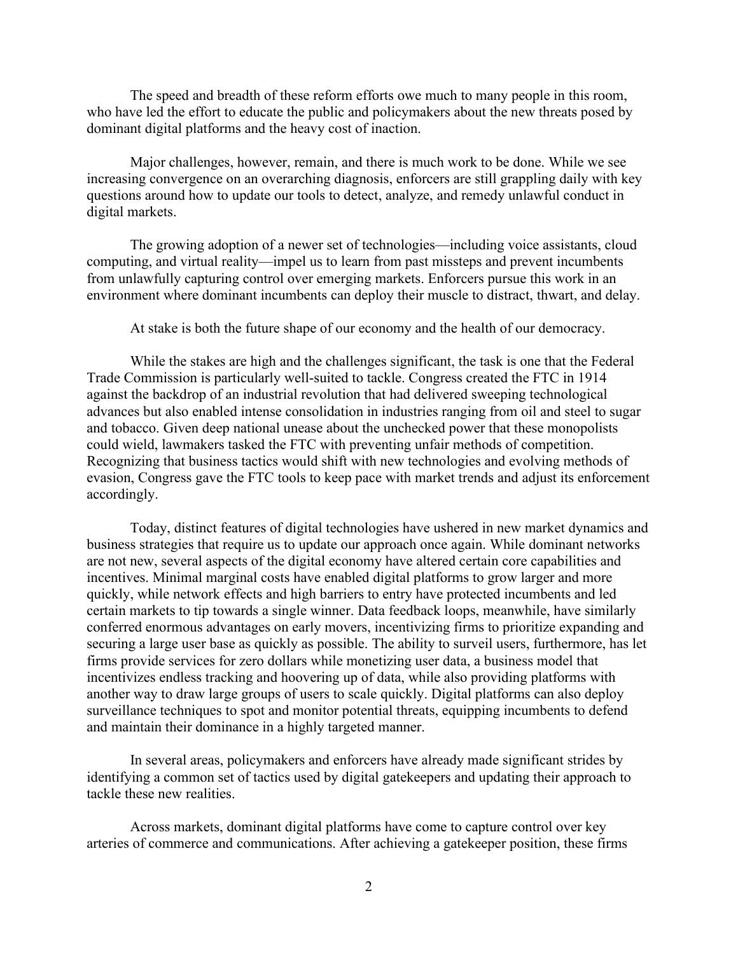The speed and breadth of these reform efforts owe much to many people in this room, who have led the effort to educate the public and policymakers about the new threats posed by dominant digital platforms and the heavy cost of inaction.

Major challenges, however, remain, and there is much work to be done. While we see increasing convergence on an overarching diagnosis, enforcers are still grappling daily with key questions around how to update our tools to detect, analyze, and remedy unlawful conduct in digital markets.

The growing adoption of a newer set of technologies—including voice assistants, cloud computing, and virtual reality—impel us to learn from past missteps and prevent incumbents from unlawfully capturing control over emerging markets. Enforcers pursue this work in an environment where dominant incumbents can deploy their muscle to distract, thwart, and delay.

At stake is both the future shape of our economy and the health of our democracy.

While the stakes are high and the challenges significant, the task is one that the Federal Trade Commission is particularly well-suited to tackle. Congress created the FTC in 1914 against the backdrop of an industrial revolution that had delivered sweeping technological advances but also enabled intense consolidation in industries ranging from oil and steel to sugar and tobacco. Given deep national unease about the unchecked power that these monopolists could wield, lawmakers tasked the FTC with preventing unfair methods of competition. Recognizing that business tactics would shift with new technologies and evolving methods of evasion, Congress gave the FTC tools to keep pace with market trends and adjust its enforcement accordingly.

Today, distinct features of digital technologies have ushered in new market dynamics and business strategies that require us to update our approach once again. While dominant networks are not new, several aspects of the digital economy have altered certain core capabilities and incentives. Minimal marginal costs have enabled digital platforms to grow larger and more quickly, while network effects and high barriers to entry have protected incumbents and led certain markets to tip towards a single winner. Data feedback loops, meanwhile, have similarly conferred enormous advantages on early movers, incentivizing firms to prioritize expanding and securing a large user base as quickly as possible. The ability to surveil users, furthermore, has let firms provide services for zero dollars while monetizing user data, a business model that incentivizes endless tracking and hoovering up of data, while also providing platforms with another way to draw large groups of users to scale quickly. Digital platforms can also deploy surveillance techniques to spot and monitor potential threats, equipping incumbents to defend and maintain their dominance in a highly targeted manner.

In several areas, policymakers and enforcers have already made significant strides by identifying a common set of tactics used by digital gatekeepers and updating their approach to tackle these new realities.

Across markets, dominant digital platforms have come to capture control over key arteries of commerce and communications. After achieving a gatekeeper position, these firms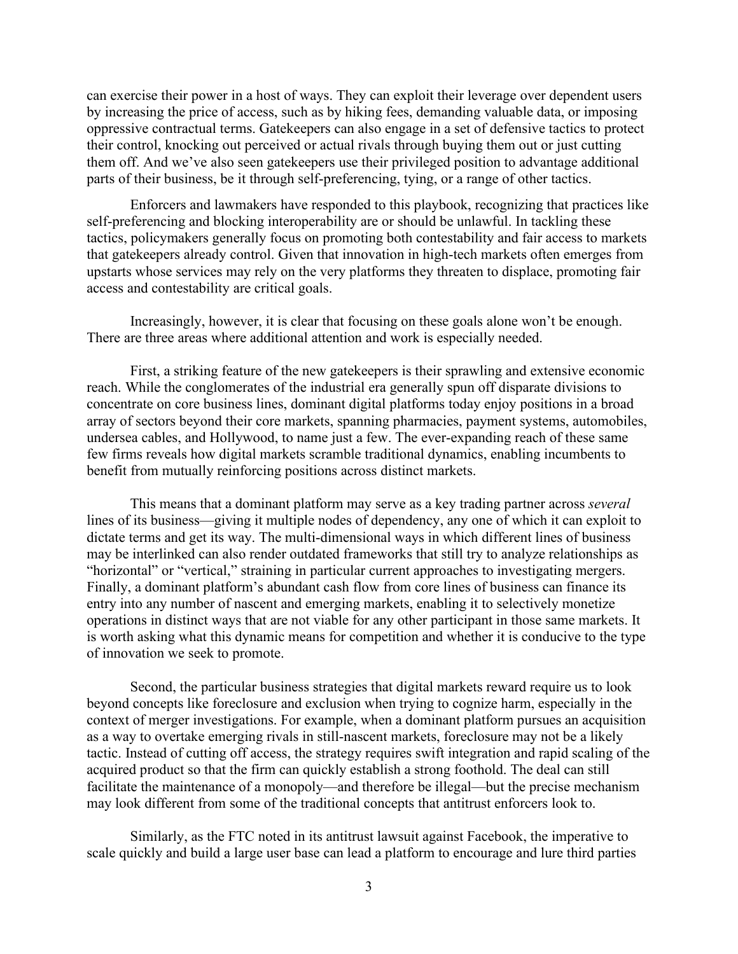can exercise their power in a host of ways. They can exploit their leverage over dependent users by increasing the price of access, such as by hiking fees, demanding valuable data, or imposing oppressive contractual terms. Gatekeepers can also engage in a set of defensive tactics to protect their control, knocking out perceived or actual rivals through buying them out or just cutting them off. And we've also seen gatekeepers use their privileged position to advantage additional parts of their business, be it through self-preferencing, tying, or a range of other tactics.

Enforcers and lawmakers have responded to this playbook, recognizing that practices like self-preferencing and blocking interoperability are or should be unlawful. In tackling these tactics, policymakers generally focus on promoting both contestability and fair access to markets that gatekeepers already control. Given that innovation in high-tech markets often emerges from upstarts whose services may rely on the very platforms they threaten to displace, promoting fair access and contestability are critical goals.

Increasingly, however, it is clear that focusing on these goals alone won't be enough. There are three areas where additional attention and work is especially needed.

First, a striking feature of the new gatekeepers is their sprawling and extensive economic reach. While the conglomerates of the industrial era generally spun off disparate divisions to concentrate on core business lines, dominant digital platforms today enjoy positions in a broad array of sectors beyond their core markets, spanning pharmacies, payment systems, automobiles, undersea cables, and Hollywood, to name just a few. The ever-expanding reach of these same few firms reveals how digital markets scramble traditional dynamics, enabling incumbents to benefit from mutually reinforcing positions across distinct markets.

This means that a dominant platform may serve as a key trading partner across *several* lines of its business—giving it multiple nodes of dependency, any one of which it can exploit to dictate terms and get its way. The multi-dimensional ways in which different lines of business may be interlinked can also render outdated frameworks that still try to analyze relationships as "horizontal" or "vertical," straining in particular current approaches to investigating mergers. Finally, a dominant platform's abundant cash flow from core lines of business can finance its entry into any number of nascent and emerging markets, enabling it to selectively monetize operations in distinct ways that are not viable for any other participant in those same markets. It is worth asking what this dynamic means for competition and whether it is conducive to the type of innovation we seek to promote.

Second, the particular business strategies that digital markets reward require us to look beyond concepts like foreclosure and exclusion when trying to cognize harm, especially in the context of merger investigations. For example, when a dominant platform pursues an acquisition as a way to overtake emerging rivals in still-nascent markets, foreclosure may not be a likely tactic. Instead of cutting off access, the strategy requires swift integration and rapid scaling of the acquired product so that the firm can quickly establish a strong foothold. The deal can still facilitate the maintenance of a monopoly—and therefore be illegal—but the precise mechanism may look different from some of the traditional concepts that antitrust enforcers look to.

Similarly, as the FTC noted in its antitrust lawsuit against Facebook, the imperative to scale quickly and build a large user base can lead a platform to encourage and lure third parties